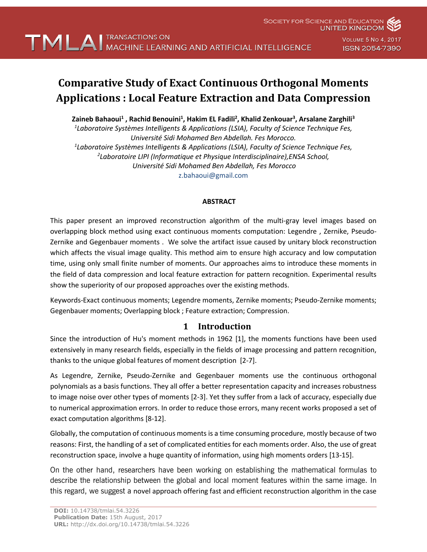

**UNITED KINGDOM** 

**SOCIETY FOR SCIENCE AND EDUCATION** 

# **Comparative Study of Exact Continuous Orthogonal Moments Applications: Local Feature Extraction and Data Compression**

Zaineb Bahaoui<sup>1</sup> , Rachid Benouini<sup>1</sup>, Hakim EL Fadili<sup>2</sup>, Khalid Zenkouar<sup>3</sup>, Arsalane Zarghili<sup>3</sup>

*1 Laboratoire Systèmes Intelligents & Applications (LSIA), Faculty of Science Technique Fes, Université Sidi Mohamed Ben Abdellah. Fes Morocco. 1 Laboratoire Systèmes Intelligents & Applications (LSIA), Faculty of Science Technique Fes, 2 Laboratoire LIPI (Informatique et Physique Interdisciplinaire),ENSA School, Université Sidi Mohamed Ben Abdellah, Fes Morocco* z.bahaoui@gmail.com

### **ABSTRACT**

This paper present an improved reconstruction algorithm of the multi-gray level images based on overlapping block method using exact continuous moments computation: Legendre , Zernike, Pseudo-Zernike and Gegenbauer moments . We solve the artifact issue caused by unitary block reconstruction which affects the visual image quality. This method aim to ensure high accuracy and low computation time, using only small finite number of moments. Our approaches aims to introduce these moments in the field of data compression and local feature extraction for pattern recognition. Experimental results show the superiority of our proposed approaches over the existing methods.

Keywords-Exact continuous moments; Legendre moments, Zernike moments; Pseudo-Zernike moments; Gegenbauer moments; Overlapping block ; Feature extraction; Compression.

# **1 Introduction**

Since the introduction of Hu's moment methods in 1962 [1], the moments functions have been used extensively in many research fields, especially in the fields of image processing and pattern recognition, thanks to the unique global features of moment description [2-7].

As Legendre, Zernike, Pseudo-Zernike and Gegenbauer moments use the continuous orthogonal polynomials as a basis functions. They all offer a better representation capacity and increases robustness to image noise over other types of moments [2-3]. Yet they suffer from a lack of accuracy, especially due to numerical approximation errors. In order to reduce those errors, many recent works proposed a set of exact computation algorithms [8-12].

Globally, the computation of continuous moments is a time consuming procedure, mostly because of two reasons: First, the handling of a set of complicated entities for each moments order. Also, the use of great reconstruction space, involve a huge quantity of information, using high moments orders [13-15].

On the other hand, researchers have been working on establishing the mathematical formulas to describe the relationship between the global and local moment features within the same image. In this regard, we suggest a novel approach offering fast and efficient reconstruction algorithm in the case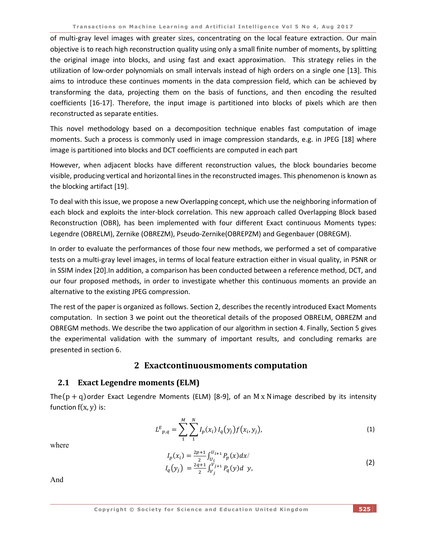of multi-gray level images with greater sizes, concentrating on the local feature extraction. Our main objective is to reach high reconstruction quality using only a small finite number of moments, by splitting the original image into blocks, and using fast and exact approximation. This strategy relies in the utilization of low-order polynomials on small intervals instead of high orders on a single one [13]. This aims to introduce these continues moments in the data compression field, which can be achieved by transforming the data, projecting them on the basis of functions, and then encoding the resulted coefficients [16-17]. Therefore, the input image is partitioned into blocks of pixels which are then reconstructed as separate entities.

This novel methodology based on a decomposition technique enables fast computation of image moments. Such a process is commonly used in image compression standards, e.g. in JPEG [18] where image is partitioned into blocks and DCT coefficients are computed in each part

However, when adjacent blocks have different reconstruction values, the block boundaries become visible, producing vertical and horizontal lines in the reconstructed images. This phenomenon is known as the blocking artifact [19].

To deal with this issue, we propose a new Overlapping concept, which use the neighboring information of each block and exploits the inter-block correlation. This new approach called Overlapping Block based Reconstruction (OBR), has been implemented with four different Exact continuous Moments types: Legendre (OBRELM), Zernike (OBREZM), Pseudo-Zernike(OBREPZM) and Gegenbauer (OBREGM).

In order to evaluate the performances of those four new methods, we performed a set of comparative tests on a multi-gray level images, in terms of local feature extraction either in visual quality, in PSNR or in SSIM index [20].In addition, a comparison has been conducted between a reference method, DCT, and our four proposed methods, in order to investigate whether this continuous moments an provide an alternative to the existing JPEG compression.

The rest of the paper is organized as follows. Section 2, describes the recently introduced Exact Moments computation. In section 3 we point out the theoretical details of the proposed OBRELM, OBREZM and OBREGM methods. We describe the two application of our algorithm in section 4. Finally, Section 5 gives the experimental validation with the summary of important results, and concluding remarks are presented in section 6.

# **2 Exactcontinuousmoments computation**

### **2.1 Exact Legendre moments (ELM)**

The( $p + q$ ) order Exact Legendre Moments (ELM) [8-9], of an M x Nimage described by its intensity function  $f(x, y)$  is:

$$
L^{E}_{p,q} = \sum_{1}^{M} \sum_{1}^{N} I_{p}(x_{i}) I_{q}(y_{j}) f(x_{i}, y_{j}),
$$
\n(1)

where

$$
I_p(x_i) = \frac{2p+1}{2} \int_{U_i}^{U_{i+1}} P_p(x) dx / I_q(y_j) = \frac{2q+1}{2} \int_{V_j}^{V_{j+1}} P_q(y) dy,
$$
\n(2)

And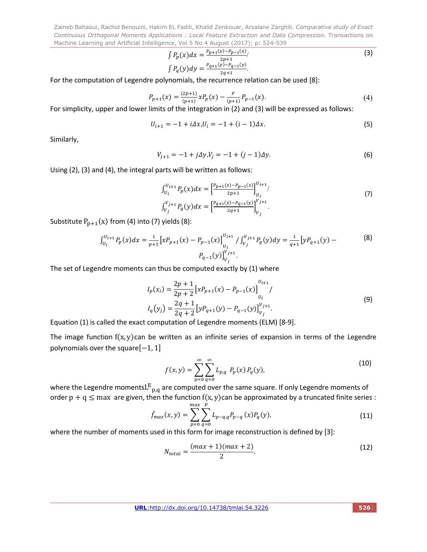$$
\int P_p(x)dx = \frac{P_{p+1}(x) - P_{p-1}(x)}{2p+1} / \int P_q(y)dy = \frac{P_{q+1}(y) - P_{q-1}(y)}{2q+1}.
$$
\n(3)

For the computation of Legendre polynomials, the recurrence relation can be used [8]:

$$
P_{p+1}(x) = \frac{(2p+1)}{(p+1)} x P_p(x) - \frac{p}{(p+1)} P_{p-1}(x).
$$
\n(4)

For simplicity, upper and lower limits of the integration in (2) and (3) will be expressed as follows:

$$
U_{i+1} = -1 + i\Delta x, U_i = -1 + (i - 1)\Delta x.
$$
 (5)

Similarly,

$$
V_{j+1} = -1 + j\Delta y, V_j = -1 + (j-1)\Delta y.
$$
 (6)

Using (2), (3) and (4), the integral parts will be written as follows:

$$
\int_{U_i}^{U_{i+1}} P_p(x) dx = \left[ \frac{P_{p+1}(x) - P_{p-1}(x)}{2p+1} \right]_{U_i}^{U_{i+1}} / \left[ \int_{V_j}^{V_{j+1}} P_q(y) dx \right] = \left[ \frac{P_{q+1}(y) - P_{q-1}(y)}{2q+1} \right]_{V_j}^{V_{j+1}} . \tag{7}
$$

Substitute  $P_{p+1}(x)$  from (4) into (7) yields (8):

$$
\int_{U_i}^{U_{i+1}} P_p(x) dx = \frac{1}{p+1} \left[ x P_{p+1}(x) - P_{p-1}(x) \right]_{U_i}^{U_{i+1}} / \int_{V_j}^{V_{j+1}} P_q(y) dy = \frac{1}{q+1} \left[ y P_{q+1}(y) - P_{q-1}(y) \right]_{V_j}^{V_{j+1}}.
$$
\n(8)

The set of Legendre moments can thus be computed exactly by (1) where

$$
I_p(x_i) = \frac{2p+1}{2p+2} \left[ xP_{p+1}(x) - P_{p-1}(x) \right]_{U_i}^{U_{i+1}} /
$$
  
\n
$$
I_q(y_j) = \frac{2q+1}{2q+2} \left[ yP_{q+1}(y) - P_{q-1}(y) \right]_{V_j}^{V_{j+1}}.
$$
\n(9)

Equation (1) is called the exact computation of Legendre moments (ELM) [8-9].

The image function  $f(x, y)$ can be written as an infinite series of expansion in terms of the Legendre polynomials over the square[-1, 1]

$$
f(x,y) = \sum_{p=0}^{\infty} \sum_{q=0}^{\infty} L_{p,q} P_p(x) P_q(y),
$$
 (10)

where the Legendre moments $L^{E}{}_{p,q}$  are computed over the same square. If only Legendre moments of order  $p + q \leq$  max are given, then the function  $f(x, y)$ can be approximated by a truncated finite series :

$$
\hat{f}_{max}(x, y) = \sum_{p=0}^{max} \sum_{q=0}^{p} L_{p-q,q} P_{p-q}(x) P_q(y),
$$
\n(11)

where the number of moments used in this form for image reconstruction is defined by [3]:

$$
N_{total} = \frac{(max + 1)(max + 2)}{2}.
$$
 (12)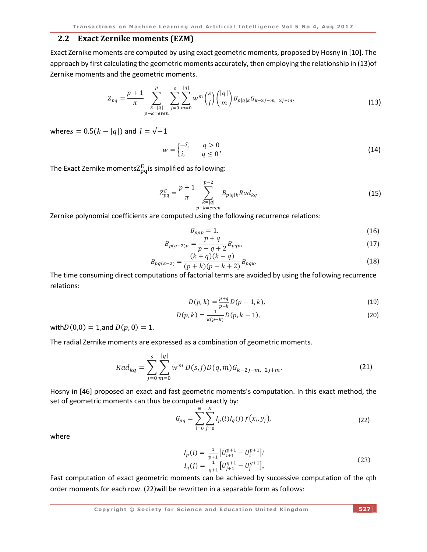#### **2.2 Exact Zernike moments (EZM)**

Exact Zernike moments are computed by using exact geometric moments, proposed by Hosny in [10]. The approach by first calculating the geometric moments accurately, then employing the relationship in (13)of Zernike moments and the geometric moments.

$$
Z_{pq} = \frac{p+1}{\pi} \sum_{\substack{k=|q| \\ p-k=even}}^p \sum_{j=0}^s \sum_{m=0}^{|q|} w^m \binom{s}{j} \binom{|q|}{m} B_{p|q|k} G_{k-2j-m, 2j+m}, \tag{13}
$$

wheres =  $0.5(k - |q|)$  and  $\hat{i} = \sqrt{-1}$ 

$$
w = \begin{cases} -\hat{\iota}, & q > 0 \\ \hat{\iota}, & q \le 0 \end{cases}
$$
 (14)

The Exact Zernike moments $\rm Z_{pq}^E$ is simplified as following:

$$
Z_{pq}^{E} = \frac{p+1}{\pi} \sum_{\substack{k=|q|\\p-k=even}}^{p-2} B_{p|q|k} Rad_{kq}
$$
 (15)

Zernike polynomial coefficients are computed using the following recurrence relations:

$$
B_{ppp} = 1,\t\t(16)
$$

$$
B_{p(q-2)p} = \frac{p+q}{p-q+2} B_{pqp},
$$
\n(17)

$$
B_{pq(k-2)} = \frac{(k+q)(k-q)}{(p+k)(p-k+2)} B_{pqk}.
$$
\n(18)

The time consuming direct computations of factorial terms are avoided by using the following recurrence relations:

$$
D(p,k) = \frac{p+q}{p-k} D(p-1,k),
$$
\n(19)

$$
D(p,k) = \frac{1}{k(p-k)} D(p,k-1),
$$
\n(20)

with $D(0,0) = 1$ , and  $D(p, 0) = 1$ .

The radial Zernike moments are expressed as a combination of geometric moments.

$$
Rad_{kq} = \sum_{j=0}^{s} \sum_{m=0}^{|q|} w^{m} D(s,j)D(q,m)G_{k-2j-m, 2j+m}.
$$
 (21)

Hosny in [46] proposed an exact and fast geometric moments's computation. In this exact method, the set of geometric moments can thus be computed exactly by:

$$
G_{pq} = \sum_{i=0}^{N} \sum_{j=0}^{N} I_p(i) I_q(j) f(x_i, y_j),
$$
 (22)

where

$$
I_p(i) = \frac{1}{p+1} \left[ U_{i+1}^{p+1} - U_i^{p+1} \right] / I_q(j) = \frac{1}{q+1} \left[ U_{j+1}^{q+1} - U_j^{q+1} \right],
$$
 (23)

Fast computation of exact geometric moments can be achieved by successive computation of the qth order moments for each row. (22)will be rewritten in a separable form as follows: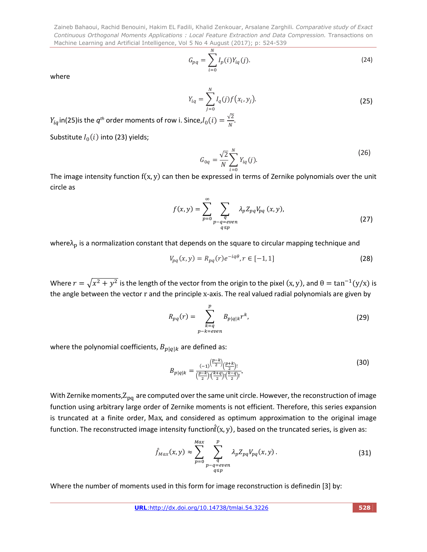$$
G_{pq} = \sum_{i=0}^{N} I_p(i) Y_{iq}(j).
$$
 (24)

where

$$
Y_{iq} = \sum_{j=0}^{N} I_q(j) f(x_i, y_j).
$$
 (25)

 $Y_{iq}$ in(25)is the  $q^{th}$  order moments of row i. Since, $I_0(i) = \frac{\sqrt{2}}{N}$ .

Substitute  $I_0(i)$  into (23) yields;

$$
G_{0q} = \frac{\sqrt{2}}{N} \sum_{i=0}^{N} Y_{iq}(j).
$$
 (26)

The image intensity function  $f(x, y)$  can then be expressed in terms of Zernike polynomials over the unit circle as

$$
f(x,y) = \sum_{p=0}^{\infty} \sum_{\substack{q \text{ square} \\ p-q=even}} \lambda_p Z_{pq} V_{pq}(x,y),
$$
 (27)

where $\lambda_{\rm p}$  is a normalization constant that depends on the square to circular mapping technique and

$$
V_{pq}(x, y) = R_{pq}(r)e^{-iq\theta}, r \in [-1, 1]
$$
\n(28)

Where  $r = \sqrt{x^2 + y^2}$  is the length of the vector from the origin to the pixel  $(x, y)$ , and  $\theta = \tan^{-1}(y/x)$  is the angle between the vector r and the principle x-axis. The real valued radial polynomials are given by

$$
R_{pq}(r) = \sum_{\substack{k=q \ p-k=even}}^{p} B_{p|q|k} r^k,
$$
\n(29)

where the polynomial coefficients,  $B_{p|q|k}$  are defined as:

$$
B_{p|q|k} = \frac{(-1)^{\left(\frac{p-k}{2}\right)} \left(\frac{p+k}{2}\right)!}{\left(\frac{p-k}{2}\right)! \left(\frac{k+q}{2}\right)! \left(\frac{k-q}{2}\right)!},\tag{30}
$$

With Zernike moments, $Z_{pq}$  are computed over the same unit circle. However, the reconstruction of image function using arbitrary large order of Zernike moments is not efficient. Therefore, this series expansion is truncated at a finite order, Max, and considered as optimum approximation to the original image function. The reconstructed image intensity function $\hat{f}(x, y)$ , based on the truncated series, is given as:

$$
\hat{f}_{Max}(x, y) \approx \sum_{p=0}^{Max} \sum_{\substack{q \ q \equiv even}}^{p} \lambda_p Z_{pq} V_{pq}(x, y).
$$
\n(31)

Where the number of moments used in this form for image reconstruction is definedin [3] by: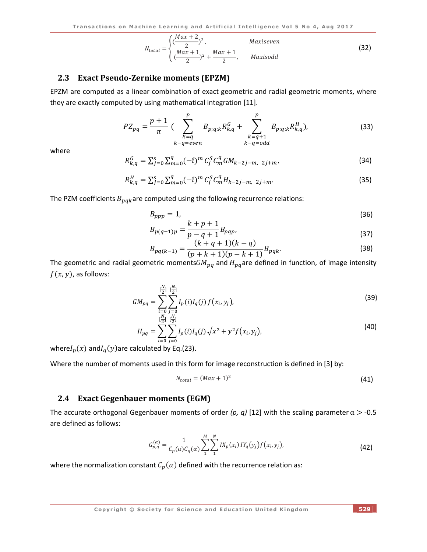$$
N_{total} = \begin{cases} \left(\frac{Max + 2}{2}\right)^2, & Maxiseven\\ \left(\frac{Max + 1}{2}\right)^2 + \frac{Max + 1}{2}, & Maxisodd \end{cases}
$$
(32)

#### **2.3 Exact Pseudo-Zernike moments (EPZM)**

EPZM are computed as a linear combination of exact geometric and radial geometric moments, where they are exactly computed by using mathematical integration [11].

$$
PZ_{pq} = \frac{p+1}{\pi} \left( \sum_{k=q}^{p} B_{p;q;k} R_{k,q}^G + \sum_{\substack{k=q+1 \ k-q=odd}}^{p} B_{p;q;k} R_{k,q}^H \right),
$$
 (33)

where

$$
R_{k,q}^G = \sum_{j=0}^s \sum_{m=0}^q (-\hat{\iota})^m C_j^S C_m^Q G M_{k-2j-m, 2j+m}, \qquad (34)
$$

$$
R_{k,q}^H = \sum_{j=0}^{s} \sum_{m=0}^{q} (-\hat{\iota})^m C_j^S C_m^q H_{k-2j-m, 2j+m}.
$$
 (35)

The PZM coefficients  $B_{pqk}$ are computed using the following recurrence relations:

$$
B_{ppp} = 1,\t\t(36)
$$

$$
B_{p(q-1)p} = \frac{k+p+1}{p-q+1} B_{pqp},
$$
\n(37)

$$
B_{pq(k-1)} = \frac{(k+q+1)(k-q)}{(p+k+1)(p-k+1)} B_{pqk}.
$$
\n(38)

The geometric and radial geometric moments  $GM_{pq}$  and  $H_{pq}$  are defined in function, of image intensity  $f(x, y)$ , as follows:

$$
GM_{pq} = \sum_{\substack{i=0 \ i>0}}^{\lfloor \frac{N}{2} \rfloor} \sum_{j=0}^{\lfloor \frac{N}{2} \rfloor} I_p(i) I_q(j) f(x_i, y_j),
$$
\n(39)

$$
H_{pq} = \sum_{i=0}^{\left[\frac{n}{2}\right]} \sum_{j=0}^{\left[\frac{n}{2}\right]} I_p(i) I_q(j) \sqrt{x^2 + y^2} f(x_i, y_j),\tag{40}
$$

where $I_p(x)$  and $I_q(y)$ are calculated by Eq.(23).

Where the number of moments used in this form for image reconstruction is defined in [3] by:

$$
N_{total} = (Max + 1)^2 \tag{41}
$$

### **2.4 Exact Gegenbauer moments (EGM)**

The accurate orthogonal Gegenbauer moments of order (p, q) [12] with the scaling parameter  $\alpha > -0.5$ are defined as follows:

$$
G_{p,q}^{(\alpha)} = \frac{1}{C_p(\alpha)C_q(\alpha)} \sum_{1}^{M} \sum_{1}^{N} I X_p(x_i) I Y_q(y_j) f(x_i, y_j),
$$
\n(42)

where the normalization constant  $C_p(\alpha)$  defined with the recurrence relation as:

**Copyright © Society for Science and Education United Kingdom 529**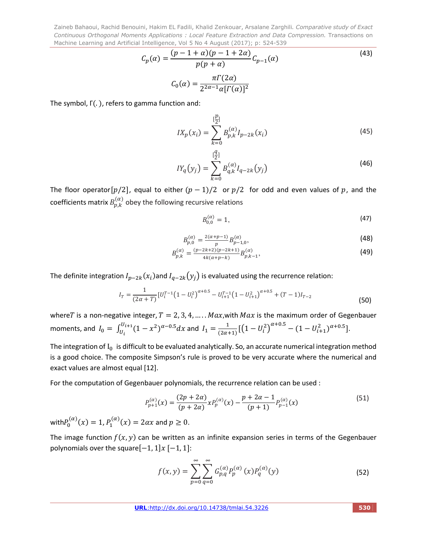$\boldsymbol{\eta}$ 

$$
C_p(\alpha) = \frac{(p - 1 + \alpha)(p - 1 + 2\alpha)}{p(p + \alpha)} C_{p-1}(\alpha)
$$
\n
$$
C_0(\alpha) = \frac{\pi \Gamma(2\alpha)}{2^{2\alpha - 1} \alpha [\Gamma(\alpha)]^2}
$$
\n(43)

The symbol, Γ(. ), refers to gamma function and:

$$
IX_p(x_i) = \sum_{k=0}^{[\frac{p}{2}]} B_{p,k}^{(\alpha)} I_{p-2k}(x_i)
$$
\n(45)

$$
IY_q(y_j) = \sum_{k=0}^{\lfloor \frac{q}{2} \rfloor} B_{q,k}^{(\alpha)} I_{q-2k}(y_j)
$$
 (46)

The floor operator[ $p/2$ ], equal to either  $(p - 1)/2$  or  $p/2$  for odd and even values of  $p$ , and the coefficients matrix  $B_{p,k}^{(\alpha)}$  obey the following recursive relations

$$
B_{0,0}^{(\alpha)} = 1,\t\t(47)
$$

$$
B_{p,0}^{(\alpha)} = \frac{2(\alpha + p - 1)}{p} B_{p-1,0}^{(\alpha)},
$$
\n(48)

$$
B_{p,k}^{(\alpha)} = \frac{(p-2k+2)(p-2k+1)}{4k(\alpha+p-k)} B_{p,k-1}^{(\alpha)},
$$
\n(49)

The definite integration  $I_{p-2k}(x_i)$  and  $I_{q-2k}(y_i)$  is evaluated using the recurrence relation:

$$
I_T = \frac{1}{(2\alpha + T)} \left[ U_i^{T-1} \left( 1 - U_i^2 \right)^{\alpha + 0.5} - U_{i+1}^{T-1} \left( 1 - U_{i+1}^2 \right)^{\alpha + 0.5} + (T - 1) I_{T-2} \right]
$$
(50)

whereT is a non-negative integer,  $T = 2, 3, 4, \dots$ .  $Max$ , with  $Max$  is the maximum order of Gegenbauer moments, and  $I_0 = \int_{U_i}^{U_{i+1}} (1 - x^2)^{\alpha - 0.5} dx$  and  $I_1 = \frac{1}{(2\alpha + 1)} \left[ \left( 1 - U_i^2 \right)^{\alpha + 0.5} - (1 - U_{i+1}^2)^{\alpha + 0.5} \right]$ .

The integration of  $I_0$  is difficult to be evaluated analytically. So, an accurate numerical integration method is a good choice. The composite Simpson's rule is proved to be very accurate where the numerical and exact values are almost equal [12].

For the computation of Gegenbauer polynomials, the recurrence relation can be used :

$$
P_{p+1}^{(\alpha)}(x) = \frac{(2p+2\alpha)}{(p+2\alpha)} x P_p^{(\alpha)}(x) - \frac{p+2\alpha-1}{(p+1)} P_{p-1}^{(\alpha)}(x)
$$
(51)

with $P_0^{(\alpha)}(x) = 1$ ,  $P_1^{(\alpha)}(x) = 2\alpha x$  and  $p \ge 0$ .

The image function  $f(x, y)$  can be written as an infinite expansion series in terms of the Gegenbauer polynomials over the square $[-1, 1]$   $x$   $[-1, 1]$ :

$$
f(x,y) = \sum_{p=0}^{\infty} \sum_{q=0}^{\infty} G_{p,q}^{(\alpha)} P_p^{(\alpha)}(x) P_q^{(\alpha)}(y)
$$
 (52)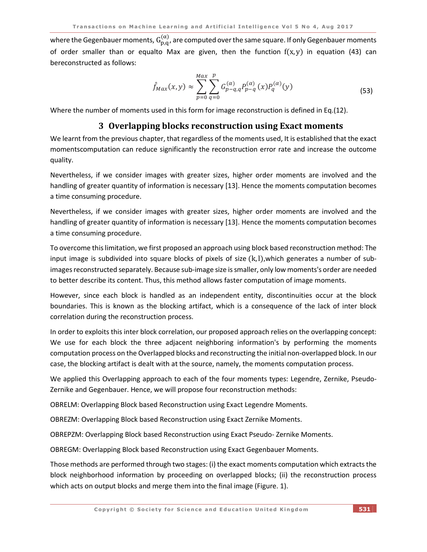where the Gegenbauer moments,  $G_{p,q}^{(\alpha)}$ , are computed over the same square. If only Gegenbauer moments of order smaller than or equalto Max are given, then the function  $f(x, y)$  in equation (43) can bereconstructed as follows:

$$
\hat{f}_{Max}(x, y) \approx \sum_{p=0}^{Max} \sum_{q=0}^{p} G_{p-q,q}^{(\alpha)} P_{p-q}^{(\alpha)}(x) P_q^{(\alpha)}(y)
$$
\n(53)

Where the number of moments used in this form for image reconstruction is defined in Eq.(12).

## **3 Overlapping blocks reconstruction using Exact moments**

We learnt from the previous chapter, that regardless of the moments used, It is established that the exact momentscomputation can reduce significantly the reconstruction error rate and increase the outcome quality.

Nevertheless, if we consider images with greater sizes, higher order moments are involved and the handling of greater quantity of information is necessary [13]. Hence the moments computation becomes a time consuming procedure.

Nevertheless, if we consider images with greater sizes, higher order moments are involved and the handling of greater quantity of information is necessary [13]. Hence the moments computation becomes a time consuming procedure.

To overcome this limitation, we first proposed an approach using block based reconstruction method: The input image is subdivided into square blocks of pixels of size  $(k, l)$ , which generates a number of subimages reconstructed separately. Because sub-image size is smaller, only low moments's order are needed to better describe its content. Thus, this method allows faster computation of image moments.

However, since each block is handled as an independent entity, discontinuities occur at the block boundaries. This is known as the blocking artifact, which is a consequence of the lack of inter block correlation during the reconstruction process.

In order to exploits this inter block correlation, our proposed approach relies on the overlapping concept: We use for each block the three adjacent neighboring information's by performing the moments computation process on the Overlapped blocks and reconstructing the initial non-overlapped block. In our case, the blocking artifact is dealt with at the source, namely, the moments computation process.

We applied this Overlapping approach to each of the four moments types: Legendre, Zernike, Pseudo-Zernike and Gegenbauer. Hence, we will propose four reconstruction methods:

OBRELM: Overlapping Block based Reconstruction using Exact Legendre Moments.

OBREZM: Overlapping Block based Reconstruction using Exact Zernike Moments.

OBREPZM: Overlapping Block based Reconstruction using Exact Pseudo- Zernike Moments.

OBREGM: Overlapping Block based Reconstruction using Exact Gegenbauer Moments.

Those methods are performed through two stages: (i) the exact moments computation which extracts the block neighborhood information by proceeding on overlapped blocks; (ii) the reconstruction process which acts on output blocks and merge them into the final image (Figure. 1).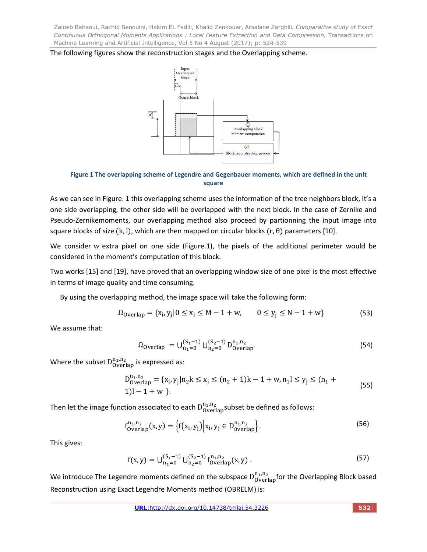The following figures show the reconstruction stages and the Overlapping scheme.



**Figure 1 The overlapping scheme of Legendre and Gegenbauer moments, which are defined in the unit square**

As we can see in Figure. 1 this overlapping scheme uses the information of the tree neighbors block, It's a one side overlapping, the other side will be overlapped with the next block. In the case of Zernike and Pseudo-Zernikemoments, our overlapping method also proceed by partionning the input image into square blocks of size  $(k, l)$ , which are then mapped on circular blocks  $(r, \theta)$  parameters [10].

We consider w extra pixel on one side (Figure.1), the pixels of the additional perimeter would be considered in the moment's computation of this block.

Two works [15] and [19], have proved that an overlapping window size of one pixel is the most effective in terms of image quality and time consuming.

By using the overlapping method, the image space will take the following form:

$$
\Omega_{\text{overlap}} = \{x_i, y_j | 0 \le x_i \le M - 1 + w, \qquad 0 \le y_j \le N - 1 + w\} \tag{53}
$$

We assume that:

$$
\Omega_{\text{Overlap}} = \bigcup_{n_1=0}^{(S_1-1)} \bigcup_{n_2=0}^{(S_2-1)} D_{\text{Overlap}}^{n_1, n_2}.
$$
\n(54)

Where the subset  $D_{\text{Overall}}^{n_1,n_2}$  is expressed as:

$$
D_{\text{overlap}}^{n_1, n_2} = \{x_i, y_j | n_2 k \le x_i \le (n_2 + 1)k - 1 + w, n_1 l \le y_j \le (n_1 + 1)l - 1 + w \}.
$$
\n(55)

Then let the image function associated to each  $\mathsf{D}_{\mathsf{Overall}}^{\mathsf{n}_1,\mathsf{n}_2}$ subset be defined as follows:

$$
f_{\text{Overlap}}^{n_1, n_2}(x, y) = \left\{ f(x_i, y_j) \middle| x_i, y_j \in D_{\text{overlap}}^{n_1, n_2} \right\}.
$$
 (56)

This gives:

$$
f(x,y) = \bigcup_{n_1=0}^{(S_1-1)} \bigcup_{n_2=0}^{(S_2-1)} f_{\text{Overlap}}^{n_1,n_2}(x,y) \,.
$$
 (57)

We introduce The Legendre moments defined on the subspace  $D_{\text{Overall}}^{n_1,n_2}$  for the Overlapping Block based Reconstruction using Exact Legendre Moments method (OBRELM) is: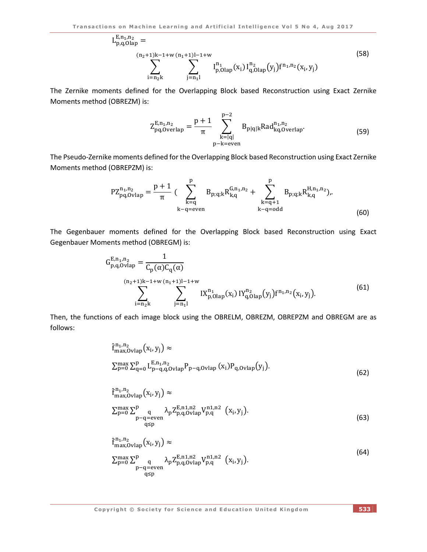$$
L_{p,q,Olap}^{E,n_1,n_2} = \sum_{\substack{(n_2+1)k-1+w \ (n_1+1)l-1+w}}^{(n_2+1)k-1+w \ (n_1+1)l-1+w} \sum_{\substack{j=n_1l}}^{n_1} I_{p,Olap}^{n_1}(x_i) I_{q,Olap}^{n_2}(y_j) f^{n_1,n_2}(x_i, y_j)
$$
(58)

The Zernike moments defined for the Overlapping Block based Reconstruction using Exact Zernike Moments method (OBREZM) is:

$$
Z_{pq,Overlap}^{E,n_1,n_2} = \frac{p+1}{\pi} \sum_{\substack{k=|q| \\ p-k=even}}^{p-2} B_{p|q|k} Rad_{kq,Overlap}^{n_1,n_2}.
$$
 (59)

 $\mathbf{r}$ 

The Pseudo-Zernike moments defined for the Overlapping Block based Reconstruction using Exact Zernike Moments method (OBREPZM) is:

 $\mathbf{r}$ 

$$
PZ_{pq,Ovlap}^{n_1,n_2} = \frac{p+1}{\pi} \left( \sum_{k=q}^{p} B_{p;q;k} R_{k,q}^{G,n_1,n_2} + \sum_{\substack{k=q+1 \ k-q=odd}}^{p} B_{p;q;k} R_{k,q}^{H,n_1,n_2} \right).
$$
\n(60)

The Gegenbauer moments defined for the Overlapping Block based Reconstruction using Exact Gegenbauer Moments method (OBREGM) is:

$$
G_{p,q,Ovlap}^{E,n_1,n_2} = \frac{1}{C_p(\alpha)C_q(\alpha)}
$$
  
\n
$$
\sum_{i=n_2k}^{(n_2+1)k-1+w} \sum_{j=n_1l}^{(n_1+1)l-1+w} I X_{p,Olap}^{n_1}(x_i) I Y_{q,Olap}^{n_2}(y_j) f^{n_1,n_2}(x_i, y_j).
$$
\n(61)

Then, the functions of each image block using the OBRELM, OBREZM, OBREPZM and OBREGM are as follows:

$$
\hat{f}^{n_1, n_2}_{\max, Ovlap}(x_i, y_j) \approx
$$
  
\n
$$
\sum_{p=0}^{\max} \sum_{q=0}^{p} L_{p-q, q, Ovlap}^{E, n_1, n_2} P_{p-q, Ovlap}(x_i) P_{q, Ovlap}(y_j).
$$
 (62)

$$
\hat{f}_{\max,Ovlap}^{n_1,n_2}(x_i, y_j) \approx \n\sum_{p=0}^{\max,Ovlap} \sum_{\substack{q \ p-q=even}}^{p} \lambda_p Z_{p,q,Ovlap}^{E,n1,n2} V_{p,q}^{n1,n2} (x_i, y_j).
$$
\n(63)

$$
\hat{f}_{\max,Ovlap}^{n_1,n_2}(x_i, y_j) \approx
$$
\n
$$
\sum_{\substack{p=0 \ p-q=even}}^{\max, Ovlap} \sum_{\substack{q \ p,q_1, p_2 \ q \leq p}}^{\min, p_2} \lambda_p Z_{p,q_1Ovlap}^{p_1,n_2} v_{p,q}^{n_1,n_2} (x_i, y_j).
$$
\n(64)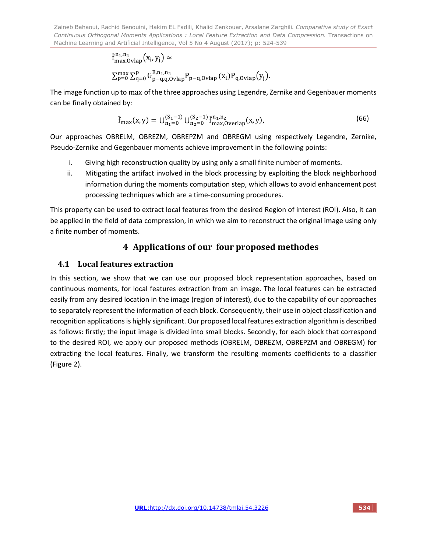$$
\begin{aligned} &\hat{f}_{max,Ovlap}^{n_1,n_2}\big(x_i,y_j\big)\approx\\ &\sum_{p=0}^{\max}\sum_{q=0}^{p}G_{p-q,q,Ovlap}^{E,n_1,n_2}P_{p-q,Ovlap}\big(x_i)P_{q,Ovlap}\big(y_j\big). \end{aligned}
$$

The image function up to max of the three approaches using Legendre, Zernike and Gegenbauer moments can be finally obtained by:

$$
\hat{f}_{\max}(x,y) = \bigcup_{n_1=0}^{(S_1-1)} \bigcup_{n_2=0}^{(S_2-1)} \hat{f}_{\max,0}^{n_1,n_2}(x,y),\tag{66}
$$

Our approaches OBRELM, OBREZM, OBREPZM and OBREGM using respectively Legendre, Zernike, Pseudo-Zernike and Gegenbauer moments achieve improvement in the following points:

- i. Giving high reconstruction quality by using only a small finite number of moments.
- ii. Mitigating the artifact involved in the block processing by exploiting the block neighborhood information during the moments computation step, which allows to avoid enhancement post processing techniques which are a time-consuming procedures.

This property can be used to extract local features from the desired Region of interest (ROI). Also, it can be applied in the field of data compression, in which we aim to reconstruct the original image using only a finite number of moments.

# **4 Applications of our four proposed methodes**

# **4.1 Local features extraction**

In this section, we show that we can use our proposed block representation approaches, based on continuous moments, for local features extraction from an image. The local features can be extracted easily from any desired location in the image (region of interest), due to the capability of our approaches to separately represent the information of each block. Consequently, their use in object classification and recognition applications is highly significant. Our proposed local features extraction algorithm is described as follows: firstly; the input image is divided into small blocks. Secondly, for each block that correspond to the desired ROI, we apply our proposed methods (OBRELM, OBREZM, OBREPZM and OBREGM) for extracting the local features. Finally, we transform the resulting moments coefficients to a classifier (Figure 2).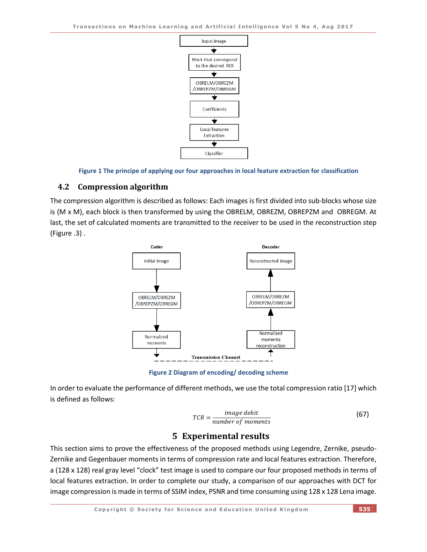

**Figure 1 The principe of applying our four approaches in local feature extraction for classification**

# **4.2 Compression algorithm**

The compression algorithm is described as follows: Each images is first divided into sub-blocks whose size is (M x M), each block is then transformed by using the OBRELM, OBREZM, OBREPZM and OBREGM. At last, the set of calculated moments are transmitted to the receiver to be used in the reconstruction step (Figure .3) .



**Figure 2 Diagram of encoding/ decoding scheme**

In order to evaluate the performance of different methods, we use the total compression ratio [17] which is defined as follows:

$$
TCR = \frac{image\; debit}{number\; of\; moments} \tag{67}
$$

# **5 Experimental results**

This section aims to prove the effectiveness of the proposed methods using Legendre, Zernike, pseudo-Zernike and Gegenbauer moments in terms of compression rate and local features extraction. Therefore, a (128 x 128) real gray level "clock" test image is used to compare our four proposed methods in terms of local features extraction. In order to complete our study, a comparison of our approaches with DCT for image compression is made in terms of SSIM index, PSNR and time consuming using 128 x 128 Lena image.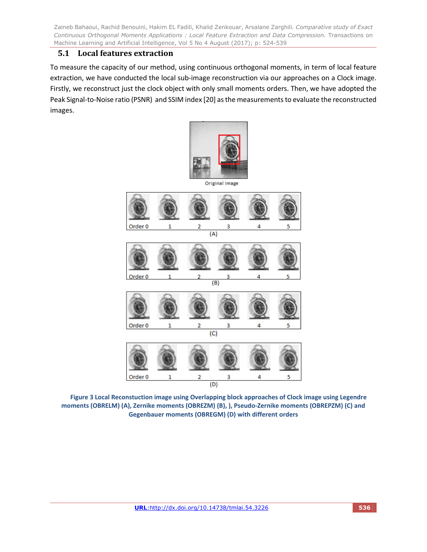# **5.1 Local features extraction**

To measure the capacity of our method, using continuous orthogonal moments, in term of local feature extraction, we have conducted the local sub-image reconstruction via our approaches on a Clock image. Firstly, we reconstruct just the clock object with only small moments orders. Then, we have adopted the Peak Signal-to-Noise ratio (PSNR) and SSIM index [20] as the measurements to evaluate the reconstructed images.



Original Image



**Figure 3 Local Reconstuction image using Overlapping block approaches of Clock image using Legendre moments (OBRELM) (A), Zernike moments (OBREZM) (B), ), Pseudo-Zernike moments (OBREPZM) (C) and Gegenbauer moments (OBREGM) (D) with different orders**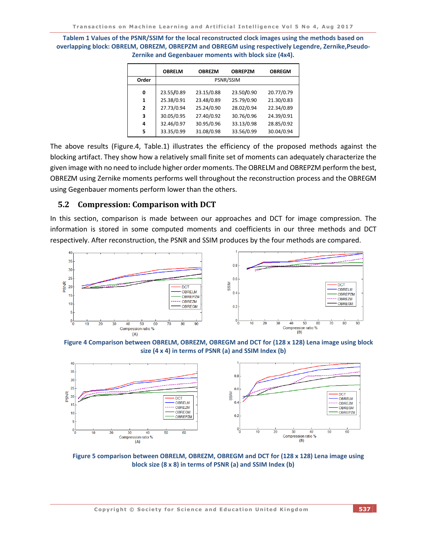**Tablem 1 Values of the PSNR/SSIM for the local reconstructed clock images using the methods based on overlapping block: OBRELM, OBREZM, OBREPZM and OBREGM using respectively Legendre, Zernike,Pseudo-Zernike and Gegenbauer moments with block size (4x4).**

|                | <b>OBRELM</b>            | <b>OBREZM</b>            | <b>OBREPZM</b>           | <b>OBREGM</b>            |  |  |
|----------------|--------------------------|--------------------------|--------------------------|--------------------------|--|--|
| Order          | PSNR/SSIM                |                          |                          |                          |  |  |
| 0<br>1         | 23.55/0.89<br>25.38/0.91 | 23.15/0.88<br>23.48/0.89 | 23.50/0.90<br>25.79/0.90 | 20.77/0.79<br>21.30/0.83 |  |  |
| $\overline{2}$ | 27.73/0.94               | 25.24/0.90               | 28.02/0.94               | 22.34/0.89               |  |  |
| 3<br>4         | 30.05/0.95<br>32.46/0.97 | 27.40/0.92<br>30.95/0.96 | 30.76/0.96<br>33.13/0.98 | 24.39/0.91<br>28.85/0.92 |  |  |
| 5              | 33.35/0.99               | 31.08/0.98               | 33.56/0.99               | 30.04/0.94               |  |  |

The above results (Figure.4, Table.1) illustrates the efficiency of the proposed methods against the blocking artifact. They show how a relatively small finite set of moments can adequately characterize the given image with no need to include higher order moments. The OBRELM and OBREPZM perform the best, OBREZM using Zernike moments performs well throughout the reconstruction process and the OBREGM using Gegenbauer moments perform lower than the others.

### **5.2 Compression: Comparison with DCT**

In this section, comparison is made between our approaches and DCT for image compression. The information is stored in some computed moments and coefficients in our three methods and DCT respectively. After reconstruction, the PSNR and SSIM produces by the four methods are compared.



**Figure 4 Comparison between OBRELM, OBREZM, OBREGM and DCT for (128 x 128) Lena image using block size (4 x 4) in terms of PSNR (a) and SSIM Index (b)**



**Figure 5 comparison between OBRELM, OBREZM, OBREGM and DCT for (128 x 128) Lena image using block size (8 x 8) in terms of PSNR (a) and SSIM Index (b)**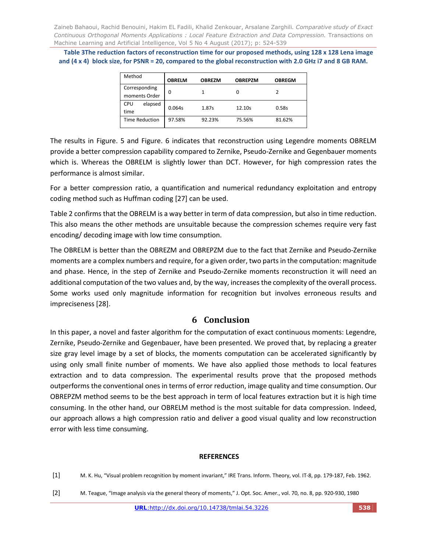**Table 3The reduction factors of reconstruction time for our proposed methods, using 128 x 128 Lena image and (4 x 4) block size, for PSNR = 20, compared to the global reconstruction with 2.0 GHz i7 and 8 GB RAM.**

| Method                | <b>OBRELM</b> | <b>OBREZM</b> | <b>OBREPZM</b> | <b>OBREGM</b> |
|-----------------------|---------------|---------------|----------------|---------------|
| Corresponding         | 0             |               |                |               |
| moments Order         |               |               |                |               |
| CPU<br>elapsed        | 0.064s        | 1.87s         | 12.10s         | 0.58s         |
| time                  |               |               |                |               |
| <b>Time Reduction</b> | 97.58%        | 92.23%        | 75.56%         | 81.62%        |

The results in Figure. 5 and Figure. 6 indicates that reconstruction using Legendre moments OBRELM provide a better compression capability compared to Zernike, Pseudo-Zernike and Gegenbauer moments which is. Whereas the OBRELM is slightly lower than DCT. However, for high compression rates the performance is almost similar.

For a better compression ratio, a quantification and numerical redundancy exploitation and entropy coding method such as Huffman coding [27] can be used.

Table 2 confirms that the OBRELM is a way better in term of data compression, but also in time reduction. This also means the other methods are unsuitable because the compression schemes require very fast encoding/ decoding image with low time consumption.

The OBRELM is better than the OBREZM and OBREPZM due to the fact that Zernike and Pseudo-Zernike moments are a complex numbers and require, for a given order, two parts in the computation: magnitude and phase. Hence, in the step of Zernike and Pseudo-Zernike moments reconstruction it will need an additional computation of the two values and, by the way, increases the complexity of the overall process. Some works used only magnitude information for recognition but involves erroneous results and impreciseness [28].

# **6 Conclusion**

In this paper, a novel and faster algorithm for the computation of exact continuous moments: Legendre, Zernike, Pseudo-Zernike and Gegenbauer, have been presented. We proved that, by replacing a greater size gray level image by a set of blocks, the moments computation can be accelerated significantly by using only small finite number of moments. We have also applied those methods to local features extraction and to data compression. The experimental results prove that the proposed methods outperforms the conventional ones in terms of error reduction, image quality and time consumption. Our OBREPZM method seems to be the best approach in term of local features extraction but it is high time consuming. In the other hand, our OBRELM method is the most suitable for data compression. Indeed, our approach allows a high compression ratio and deliver a good visual quality and low reconstruction error with less time consuming.

### **REFERENCES**

- [1] M. K. Hu, "Visual problem recognition by moment invariant," IRE Trans. Inform. Theory, vol. IT-8, pp. 179-187, Feb. 1962.
- [2] M. Teague, "Image analysis via the general theory of moments," J. Opt. Soc. Amer., vol. 70, no. 8, pp. 920-930, 1980